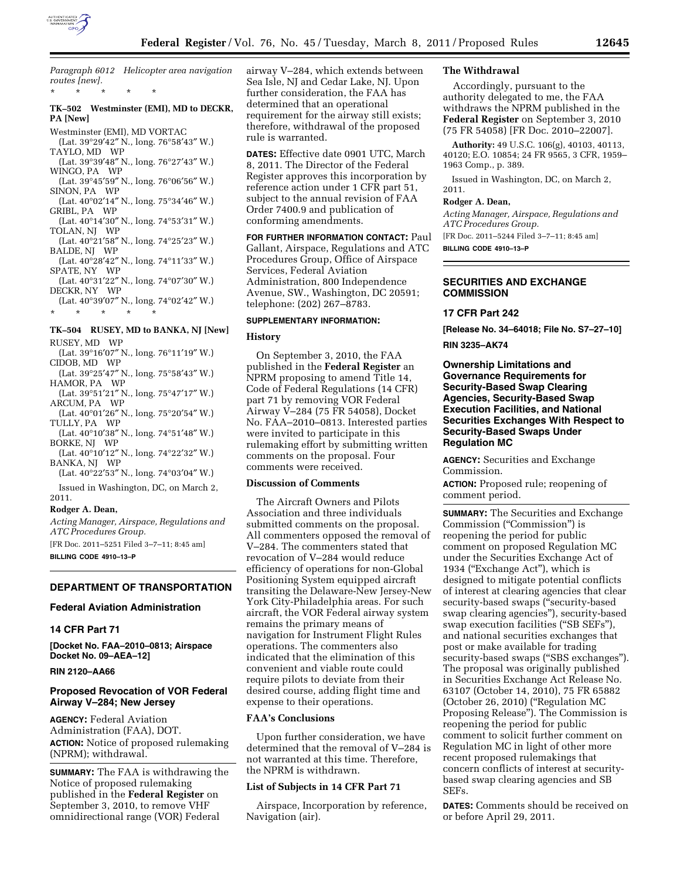

*Paragraph 6012 Helicopter area navigation routes [new].*  \* \* \* \* \*

# **TK–502 Westminster (EMI), MD to DECKR, PA [New]**

Westminster (EMI), MD VORTAC

- (Lat. 39°29′42″ N., long. 76°58′43″ W.) TAYLO, MD WP
- (Lat. 39°39′48″ N., long. 76°27′43″ W.) WINGO, PA WP
- (Lat. 39°45′59″ N., long. 76°06′56″ W.) SINON, PA WP
- (Lat. 40°02′14″ N., long. 75°34′46″ W.) GRIBL, PA WP
- (Lat. 40°14′30″ N., long. 74°53′31″ W.) TOLAN, NJ WP
- (Lat. 40°21′58″ N., long. 74°25′23″ W.) BALDE, NJ WP
- (Lat. 40°28′42″ N., long. 74°11′33″ W.) SPATE, NY WP
- (Lat. 40°31′22″ N., long. 74°07′30″ W.) DECKR, NY WP
- (Lat. 40°39′07″ N., long. 74°02′42″ W.) \* \* \* \* \*

# **TK–504 RUSEY, MD to BANKA, NJ [New]**

- RUSEY, MD WP
- (Lat. 39°16′07″ N., long. 76°11′19″ W.) CIDOB, MD WP
- (Lat. 39°25′47″ N., long. 75°58′43″ W.) HAMOR, PA WP
- (Lat. 39°51′21″ N., long. 75°47′17″ W.) ARCUM, PA WP
- (Lat. 40°01′26″ N., long. 75°20′54″ W.) TULLY, PA WP
- (Lat. 40°10′38″ N., long. 74°51′48″ W.) BORKE, NJ WP
- (Lat. 40°10′12″ N., long. 74°22′32″ W.) BANKA, NJ WP
- (Lat. 40°22′53″ N., long. 74°03′04″ W.)

Issued in Washington, DC, on March 2, 2011.

# **Rodger A. Dean,**

*Acting Manager, Airspace, Regulations and ATC Procedures Group.* 

[FR Doc. 2011–5251 Filed 3–7–11; 8:45 am] **BILLING CODE 4910–13–P** 

# **DEPARTMENT OF TRANSPORTATION**

# **Federal Aviation Administration**

# **14 CFR Part 71**

**[Docket No. FAA–2010–0813; Airspace Docket No. 09–AEA–12]** 

# **RIN 2120–AA66**

## **Proposed Revocation of VOR Federal Airway V–284; New Jersey**

**AGENCY:** Federal Aviation Administration (FAA), DOT. **ACTION:** Notice of proposed rulemaking (NPRM); withdrawal.

**SUMMARY:** The FAA is withdrawing the Notice of proposed rulemaking published in the **Federal Register** on September 3, 2010, to remove VHF omnidirectional range (VOR) Federal

airway V–284, which extends between Sea Isle, NJ and Cedar Lake, NJ. Upon further consideration, the FAA has determined that an operational requirement for the airway still exists; therefore, withdrawal of the proposed rule is warranted.

**DATES:** Effective date 0901 UTC, March 8, 2011. The Director of the Federal Register approves this incorporation by reference action under 1 CFR part 51, subject to the annual revision of FAA Order 7400.9 and publication of conforming amendments.

# **FOR FURTHER INFORMATION CONTACT:** Paul Gallant, Airspace, Regulations and ATC Procedures Group, Office of Airspace Services, Federal Aviation Administration, 800 Independence Avenue, SW., Washington, DC 20591; telephone: (202) 267–8783.

#### **SUPPLEMENTARY INFORMATION:**

#### **History**

On September 3, 2010, the FAA published in the **Federal Register** an NPRM proposing to amend Title 14, Code of Federal Regulations (14 CFR) part 71 by removing VOR Federal Airway V–284 (75 FR 54058), Docket No. FAA–2010–0813. Interested parties were invited to participate in this rulemaking effort by submitting written comments on the proposal. Four comments were received.

## **Discussion of Comments**

The Aircraft Owners and Pilots Association and three individuals submitted comments on the proposal. All commenters opposed the removal of V–284. The commenters stated that revocation of V–284 would reduce efficiency of operations for non-Global Positioning System equipped aircraft transiting the Delaware-New Jersey-New York City-Philadelphia areas. For such aircraft, the VOR Federal airway system remains the primary means of navigation for Instrument Flight Rules operations. The commenters also indicated that the elimination of this convenient and viable route could require pilots to deviate from their desired course, adding flight time and expense to their operations.

# **FAA's Conclusions**

Upon further consideration, we have determined that the removal of V–284 is not warranted at this time. Therefore, the NPRM is withdrawn.

# **List of Subjects in 14 CFR Part 71**

Airspace, Incorporation by reference, Navigation (air).

## **The Withdrawal**

Accordingly, pursuant to the authority delegated to me, the FAA withdraws the NPRM published in the **Federal Register** on September 3, 2010 (75 FR 54058) [FR Doc. 2010–22007].

**Authority:** 49 U.S.C. 106(g), 40103, 40113, 40120; E.O. 10854; 24 FR 9565, 3 CFR, 1959– 1963 Comp., p. 389.

Issued in Washington, DC, on March 2, 2011.

## **Rodger A. Dean,**

*Acting Manager, Airspace, Regulations and ATC Procedures Group.*  [FR Doc. 2011–5244 Filed 3–7–11; 8:45 am]

**BILLING CODE 4910–13–P** 

## **SECURITIES AND EXCHANGE COMMISSION**

#### **17 CFR Part 242**

**[Release No. 34–64018; File No. S7–27–10]** 

# **RIN 3235–AK74**

**Ownership Limitations and Governance Requirements for Security-Based Swap Clearing Agencies, Security-Based Swap Execution Facilities, and National Securities Exchanges With Respect to Security-Based Swaps Under Regulation MC** 

**AGENCY:** Securities and Exchange Commission.

**ACTION:** Proposed rule; reopening of comment period.

**SUMMARY:** The Securities and Exchange Commission (''Commission'') is reopening the period for public comment on proposed Regulation MC under the Securities Exchange Act of 1934 (''Exchange Act''), which is designed to mitigate potential conflicts of interest at clearing agencies that clear security-based swaps ("security-based swap clearing agencies''), security-based swap execution facilities ("SB SEFs"), and national securities exchanges that post or make available for trading security-based swaps ("SBS exchanges"). The proposal was originally published in Securities Exchange Act Release No. 63107 (October 14, 2010), 75 FR 65882 (October 26, 2010) (''Regulation MC Proposing Release''). The Commission is reopening the period for public comment to solicit further comment on Regulation MC in light of other more recent proposed rulemakings that concern conflicts of interest at securitybased swap clearing agencies and SB SEFs.

**DATES:** Comments should be received on or before April 29, 2011.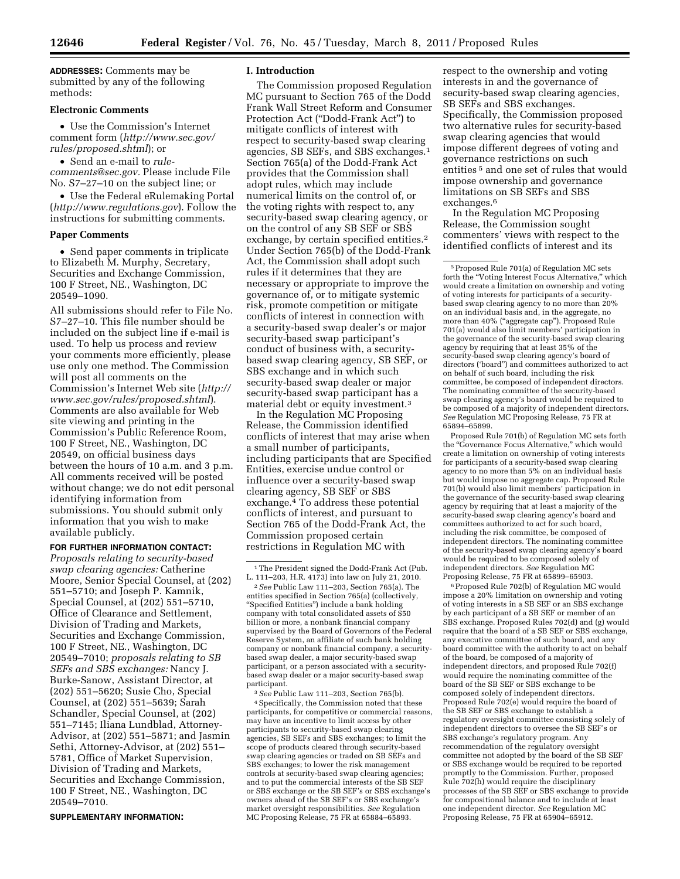**ADDRESSES:** Comments may be submitted by any of the following methods:

# **Electronic Comments**

• Use the Commission's Internet comment form (*[http://www.sec.gov/](http://www.sec.gov/rules/proposed.shtml)  [rules/proposed.shtml](http://www.sec.gov/rules/proposed.shtml)*); or

• Send an e-mail to *[rule](mailto:rule-comments@sec.gov)[comments@sec.gov.](mailto:rule-comments@sec.gov)* Please include File No. S7–27–10 on the subject line; or

• Use the Federal eRulemaking Portal (*<http://www.regulations.gov>*). Follow the instructions for submitting comments.

## **Paper Comments**

• Send paper comments in triplicate to Elizabeth M. Murphy, Secretary, Securities and Exchange Commission, 100 F Street, NE., Washington, DC 20549–1090.

All submissions should refer to File No. S7–27–10. This file number should be included on the subject line if e-mail is used. To help us process and review your comments more efficiently, please use only one method. The Commission will post all comments on the Commission's Internet Web site (*[http://](http://www.sec.gov/rules/proposed.shtml)  [www.sec.gov/rules/proposed.shtml](http://www.sec.gov/rules/proposed.shtml)*). Comments are also available for Web site viewing and printing in the Commission's Public Reference Room, 100 F Street, NE., Washington, DC 20549, on official business days between the hours of 10 a.m. and 3 p.m. All comments received will be posted without change; we do not edit personal identifying information from submissions. You should submit only information that you wish to make available publicly.

#### **FOR FURTHER INFORMATION CONTACT:**

*Proposals relating to security-based swap clearing agencies:* Catherine Moore, Senior Special Counsel, at (202) 551–5710; and Joseph P. Kamnik, Special Counsel, at (202) 551–5710, Office of Clearance and Settlement, Division of Trading and Markets, Securities and Exchange Commission, 100 F Street, NE., Washington, DC 20549–7010; *proposals relating to SB SEFs and SBS exchanges:* Nancy J. Burke-Sanow, Assistant Director, at (202) 551–5620; Susie Cho, Special Counsel, at (202) 551–5639; Sarah Schandler, Special Counsel, at (202) 551–7145; Iliana Lundblad, Attorney-Advisor, at (202) 551–5871; and Jasmin Sethi, Attorney-Advisor, at (202) 551– 5781, Office of Market Supervision, Division of Trading and Markets, Securities and Exchange Commission, 100 F Street, NE., Washington, DC 20549–7010.

**SUPPLEMENTARY INFORMATION:** 

# **I. Introduction**

The Commission proposed Regulation MC pursuant to Section 765 of the Dodd Frank Wall Street Reform and Consumer Protection Act (''Dodd-Frank Act'') to mitigate conflicts of interest with respect to security-based swap clearing agencies, SB SEFs, and SBS exchanges.1 Section 765(a) of the Dodd-Frank Act provides that the Commission shall adopt rules, which may include numerical limits on the control of, or the voting rights with respect to, any security-based swap clearing agency, or on the control of any SB SEF or SBS exchange, by certain specified entities.<sup>2</sup> Under Section 765(b) of the Dodd-Frank Act, the Commission shall adopt such rules if it determines that they are necessary or appropriate to improve the governance of, or to mitigate systemic risk, promote competition or mitigate conflicts of interest in connection with a security-based swap dealer's or major security-based swap participant's conduct of business with, a securitybased swap clearing agency, SB SEF, or SBS exchange and in which such security-based swap dealer or major security-based swap participant has a material debt or equity investment.3

In the Regulation MC Proposing Release, the Commission identified conflicts of interest that may arise when a small number of participants, including participants that are Specified Entities, exercise undue control or influence over a security-based swap clearing agency, SB SEF or SBS exchange.4 To address these potential conflicts of interest, and pursuant to Section 765 of the Dodd-Frank Act, the Commission proposed certain restrictions in Regulation MC with

2*See* Public Law 111–203, Section 765(a). The entities specified in Section 765(a) (collectively, ''Specified Entities'') include a bank holding company with total consolidated assets of \$50 billion or more, a nonbank financial company supervised by the Board of Governors of the Federal Reserve System, an affiliate of such bank holding company or nonbank financial company, a securitybased swap dealer, a major security-based swap participant, or a person associated with a securitybased swap dealer or a major security-based swap participant.

3*See* Public Law 111–203, Section 765(b). 4Specifically, the Commission noted that these participants, for competitive or commercial reasons, may have an incentive to limit access by other participants to security-based swap clearing agencies, SB SEFs and SBS exchanges; to limit the scope of products cleared through security-based swap clearing agencies or traded on SB SEFs and SBS exchanges; to lower the risk management controls at security-based swap clearing agencies; and to put the commercial interests of the SB SEF or SBS exchange or the SB SEF's or SBS exchange's owners ahead of the SB SEF's or SBS exchange's market oversight responsibilities. *See* Regulation MC Proposing Release, 75 FR at 65884–65893.

respect to the ownership and voting interests in and the governance of security-based swap clearing agencies, SB SEFs and SBS exchanges. Specifically, the Commission proposed two alternative rules for security-based swap clearing agencies that would impose different degrees of voting and governance restrictions on such entities 5 and one set of rules that would impose ownership and governance limitations on SB SEFs and SBS exchanges.6

In the Regulation MC Proposing Release, the Commission sought commenters' views with respect to the identified conflicts of interest and its

Proposed Rule 701(b) of Regulation MC sets forth the "Governance Focus Alternative," which would create a limitation on ownership of voting interests for participants of a security-based swap clearing agency to no more than 5% on an individual basis but would impose no aggregate cap. Proposed Rule 701(b) would also limit members' participation in the governance of the security-based swap clearing agency by requiring that at least a majority of the security-based swap clearing agency's board and committees authorized to act for such board, including the risk committee, be composed of independent directors. The nominating committee of the security-based swap clearing agency's board would be required to be composed solely of independent directors. *See* Regulation MC Proposing Release, 75 FR at 65899–65903.

6Proposed Rule 702(b) of Regulation MC would impose a 20% limitation on ownership and voting of voting interests in a SB SEF or an SBS exchange by each participant of a SB SEF or member of an SBS exchange. Proposed Rules 702(d) and (g) would require that the board of a SB SEF or SBS exchange, any executive committee of such board, and any board committee with the authority to act on behalf of the board, be composed of a majority of independent directors, and proposed Rule 702(f) would require the nominating committee of the board of the SB SEF or SBS exchange to be composed solely of independent directors. Proposed Rule 702(e) would require the board of the SB SEF or SBS exchange to establish a regulatory oversight committee consisting solely of independent directors to oversee the SB SEF's or SBS exchange's regulatory program. Any recommendation of the regulatory oversight committee not adopted by the board of the SB SEF or SBS exchange would be required to be reported promptly to the Commission. Further, proposed Rule 702(h) would require the disciplinary processes of the SB SEF or SBS exchange to provide for compositional balance and to include at least one independent director. *See* Regulation MC Proposing Release, 75 FR at 65904–65912.

<sup>&</sup>lt;sup>1</sup>The President signed the Dodd-Frank Act (Pub. L. 111–203, H.R. 4173) into law on July 21, 2010.

<sup>5</sup>Proposed Rule 701(a) of Regulation MC sets forth the "Voting Interest Focus Alternative," which would create a limitation on ownership and voting of voting interests for participants of a securitybased swap clearing agency to no more than 20% on an individual basis and, in the aggregate, no more than 40% (''aggregate cap''). Proposed Rule 701(a) would also limit members' participation in the governance of the security-based swap clearing agency by requiring that at least 35% of the security-based swap clearing agency's board of directors ('board'') and committees authorized to act on behalf of such board, including the risk committee, be composed of independent directors. The nominating committee of the security-based swap clearing agency's board would be required to be composed of a majority of independent directors. *See* Regulation MC Proposing Release, 75 FR at 65894–65899.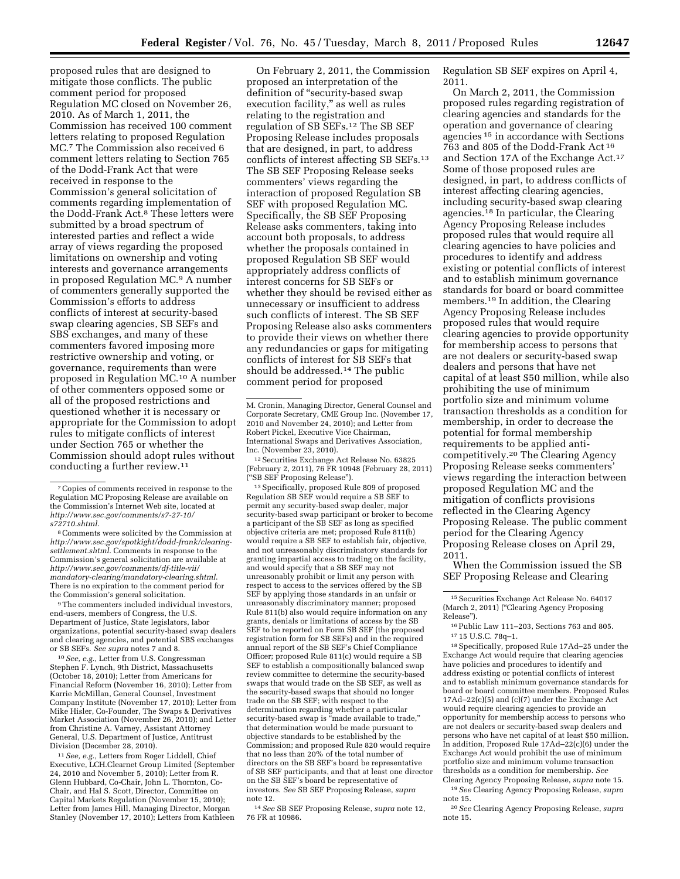proposed rules that are designed to mitigate those conflicts. The public comment period for proposed Regulation MC closed on November 26, 2010. As of March 1, 2011, the Commission has received 100 comment letters relating to proposed Regulation MC.7 The Commission also received 6 comment letters relating to Section 765 of the Dodd-Frank Act that were received in response to the Commission's general solicitation of comments regarding implementation of the Dodd-Frank Act.8 These letters were submitted by a broad spectrum of interested parties and reflect a wide array of views regarding the proposed limitations on ownership and voting interests and governance arrangements in proposed Regulation MC.9 A number of commenters generally supported the Commission's efforts to address conflicts of interest at security-based swap clearing agencies, SB SEFs and SBS exchanges, and many of these commenters favored imposing more restrictive ownership and voting, or governance, requirements than were proposed in Regulation MC.10 A number of other commenters opposed some or all of the proposed restrictions and questioned whether it is necessary or appropriate for the Commission to adopt rules to mitigate conflicts of interest under Section 765 or whether the Commission should adopt rules without conducting a further review.11

7Copies of comments received in response to the Regulation MC Proposing Release are available on the Commission's Internet Web site, located at *[http://www.sec.gov/comments/s7-27-10/](http://www.sec.gov/comments/s7-27-10/s72710.shtml) [s72710.shtml](http://www.sec.gov/comments/s7-27-10/s72710.shtml)*.

8Comments were solicited by the Commission at *[http://www.sec.gov/spotkight/dodd-frank/clearing](http://www.sec.gov/spotkight/dodd-frank/clearing-settlement.shtml)[settlement.shtml](http://www.sec.gov/spotkight/dodd-frank/clearing-settlement.shtml)*. Comments in response to the Commission's general solicitation are available at *[http://www.sec.gov/comments/df-title-vii/](http://www.sec.gov/comments/df-title-vii/mandatory-clearing/mandatory-clearing.shtml)  [mandatory-clearing/mandatory-clearing.shtml](http://www.sec.gov/comments/df-title-vii/mandatory-clearing/mandatory-clearing.shtml)*. There is no expiration to the comment period for the Commission's general solicitation.

9The commenters included individual investors, end-users, members of Congress, the U.S. Department of Justice, State legislators, labor organizations, potential security-based swap dealers and clearing agencies, and potential SBS exchanges or SB SEFs. *See supra* notes 7 and 8.

10*See, e.g.,* Letter from U.S. Congressman Stephen F. Lynch, 9th District, Massachusetts (October 18, 2010); Letter from Americans for Financial Reform (November 16, 2010); Letter from Karrie McMillan, General Counsel, Investment Company Institute (November 17, 2010); Letter from Mike Hisler, Co-Founder, The Swaps & Derivatives Market Association (November 26, 2010); and Letter from Christine A. Varney, Assistant Attorney General, U.S. Department of Justice, Antitrust Division (December 28, 2010).

11*See, e.g.,* Letters from Roger Liddell, Chief Executive, LCH.Clearnet Group Limited (September 24, 2010 and November 5, 2010); Letter from R. Glenn Hubbard, Co-Chair, John L. Thornton, Co-Chair, and Hal S. Scott, Director, Committee on Capital Markets Regulation (November 15, 2010); Letter from James Hill, Managing Director, Morgan Stanley (November 17, 2010); Letters from Kathleen

On February 2, 2011, the Commission proposed an interpretation of the definition of "security-based swap execution facility," as well as rules relating to the registration and regulation of SB SEFs.12 The SB SEF Proposing Release includes proposals that are designed, in part, to address conflicts of interest affecting SB SEFs.13 The SB SEF Proposing Release seeks commenters' views regarding the interaction of proposed Regulation SB SEF with proposed Regulation MC. Specifically, the SB SEF Proposing Release asks commenters, taking into account both proposals, to address whether the proposals contained in proposed Regulation SB SEF would appropriately address conflicts of interest concerns for SB SEFs or whether they should be revised either as unnecessary or insufficient to address such conflicts of interest. The SB SEF Proposing Release also asks commenters to provide their views on whether there any redundancies or gaps for mitigating conflicts of interest for SB SEFs that should be addressed.<sup>14</sup> The public comment period for proposed

12Securities Exchange Act Release No. 63825 (February 2, 2011), 76 FR 10948 (February 28, 2011) (''SB SEF Proposing Release'').

13Specifically, proposed Rule 809 of proposed Regulation SB SEF would require a SB SEF to permit any security-based swap dealer, major security-based swap participant or broker to become a participant of the SB SEF as long as specified objective criteria are met; proposed Rule 811(b) would require a SB SEF to establish fair, objective, and not unreasonably discriminatory standards for granting impartial access to trading on the facility, and would specify that a SB SEF may not unreasonably prohibit or limit any person with respect to access to the services offered by the SB SEF by applying those standards in an unfair or unreasonably discriminatory manner; proposed Rule 811(b) also would require information on any grants, denials or limitations of access by the SB SEF to be reported on Form SB SEF (the proposed registration form for SB SEFs) and in the required annual report of the SB SEF's Chief Compliance Officer; proposed Rule 811(c) would require a SB SEF to establish a compositionally balanced swap review committee to determine the security-based swaps that would trade on the SB SEF, as well as the security-based swaps that should no longer trade on the SB SEF; with respect to the determination regarding whether a particular security-based swap is ''made available to trade,'' that determination would be made pursuant to objective standards to be established by the Commission; and proposed Rule 820 would require that no less than 20% of the total number of directors on the SB SEF's board be representative of SB SEF participants, and that at least one director on the SB SEF's board be representative of investors. *See* SB SEF Proposing Release, *supra*  note 12.

14*See* SB SEF Proposing Release, *supra* note 12, 76 FR at 10986.

Regulation SB SEF expires on April 4, 2011.

On March 2, 2011, the Commission proposed rules regarding registration of clearing agencies and standards for the operation and governance of clearing agencies 15 in accordance with Sections 763 and 805 of the Dodd-Frank Act 16 and Section 17A of the Exchange Act.17 Some of those proposed rules are designed, in part, to address conflicts of interest affecting clearing agencies, including security-based swap clearing agencies.18 In particular, the Clearing Agency Proposing Release includes proposed rules that would require all clearing agencies to have policies and procedures to identify and address existing or potential conflicts of interest and to establish minimum governance standards for board or board committee members.19 In addition, the Clearing Agency Proposing Release includes proposed rules that would require clearing agencies to provide opportunity for membership access to persons that are not dealers or security-based swap dealers and persons that have net capital of at least \$50 million, while also prohibiting the use of minimum portfolio size and minimum volume transaction thresholds as a condition for membership, in order to decrease the potential for formal membership requirements to be applied anticompetitively.20 The Clearing Agency Proposing Release seeks commenters' views regarding the interaction between proposed Regulation MC and the mitigation of conflicts provisions reflected in the Clearing Agency Proposing Release. The public comment period for the Clearing Agency Proposing Release closes on April 29, 2011.

When the Commission issued the SB SEF Proposing Release and Clearing

18Specifically, proposed Rule 17Ad–25 under the Exchange Act would require that clearing agencies have policies and procedures to identify and address existing or potential conflicts of interest and to establish minimum governance standards for board or board committee members. Proposed Rules 17Ad–22(c)(5) and (c)(7) under the Exchange Act would require clearing agencies to provide an opportunity for membership access to persons who are not dealers or security-based swap dealers and persons who have net capital of at least \$50 million. In addition, Proposed Rule 17Ad–22(c)(6) under the Exchange Act would prohibit the use of minimum portfolio size and minimum volume transaction thresholds as a condition for membership. *See*  Clearing Agency Proposing Release, *supra* note 15. 19*See* Clearing Agency Proposing Release, *supra* 

note 15.

20*See* Clearing Agency Proposing Release, *supra*  note 15.

M. Cronin, Managing Director, General Counsel and Corporate Secretary, CME Group Inc. (November 17, 2010 and November 24, 2010); and Letter from Robert Pickel, Executive Vice Chairman, International Swaps and Derivatives Association, Inc. (November 23, 2010).

<sup>15</sup>Securities Exchange Act Release No. 64017 (March 2, 2011) (''Clearing Agency Proposing Release'').

<sup>16</sup>Public Law 111–203, Sections 763 and 805. 17 15 U.S.C. 78q–1.